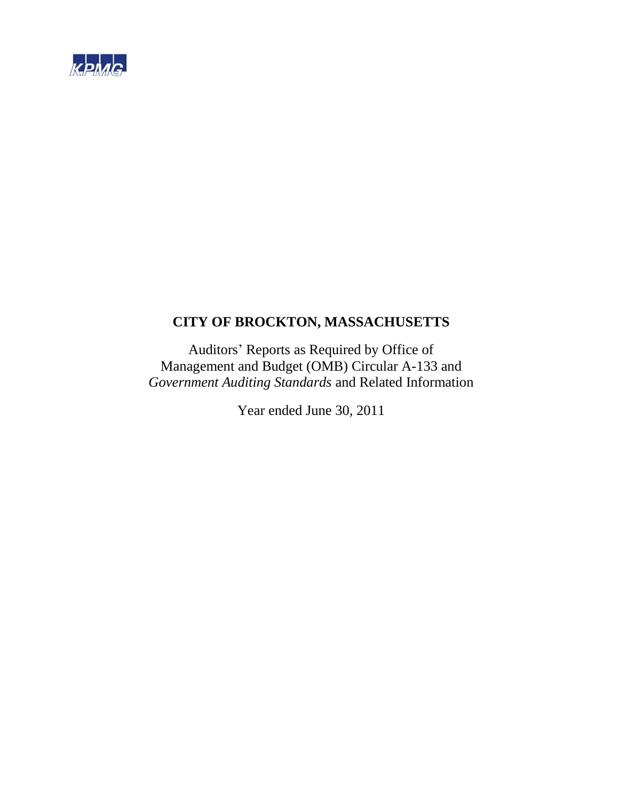

Auditors' Reports as Required by Office of Management and Budget (OMB) Circular A-133 and *Government Auditing Standards* and Related Information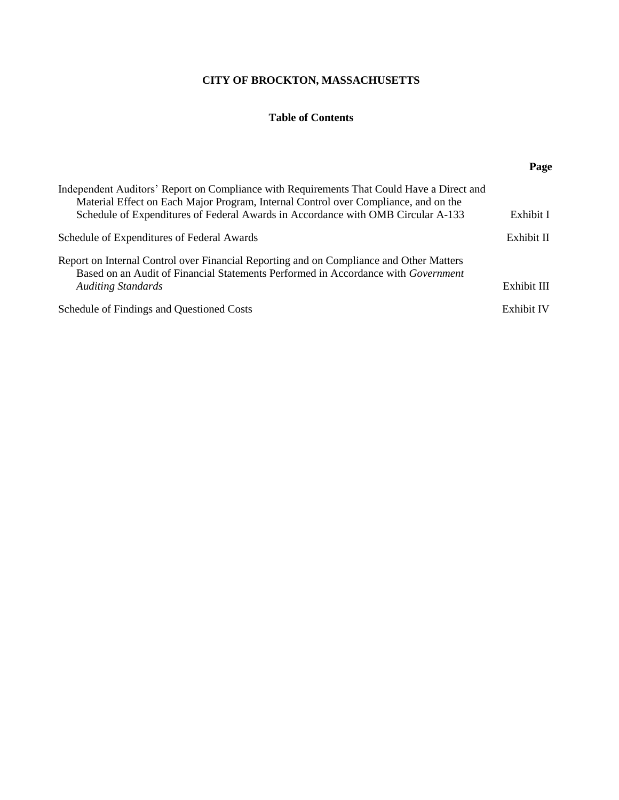# **Table of Contents**

**Page**

| Independent Auditors' Report on Compliance with Requirements That Could Have a Direct and<br>Material Effect on Each Major Program, Internal Control over Compliance, and on the<br>Schedule of Expenditures of Federal Awards in Accordance with OMB Circular A-133 | Exhibit I   |
|----------------------------------------------------------------------------------------------------------------------------------------------------------------------------------------------------------------------------------------------------------------------|-------------|
| Schedule of Expenditures of Federal Awards                                                                                                                                                                                                                           | Exhibit II  |
| Report on Internal Control over Financial Reporting and on Compliance and Other Matters<br>Based on an Audit of Financial Statements Performed in Accordance with Government<br><b>Auditing Standards</b>                                                            | Exhibit III |
| Schedule of Findings and Questioned Costs                                                                                                                                                                                                                            | Exhibit IV  |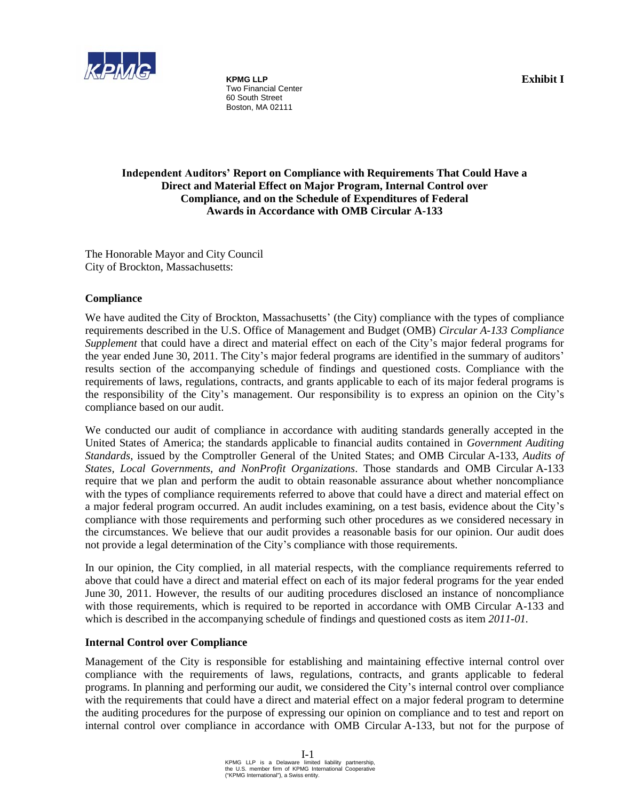

**KPMG LLP**  Two Financial Center 60 South Street Boston, MA 02111

### **Independent Auditors' Report on Compliance with Requirements That Could Have a Direct and Material Effect on Major Program, Internal Control over Compliance, and on the Schedule of Expenditures of Federal Awards in Accordance with OMB Circular A-133**

The Honorable Mayor and City Council City of Brockton, Massachusetts:

### **Compliance**

We have audited the City of Brockton, Massachusetts' (the City) compliance with the types of compliance requirements described in the U.S. Office of Management and Budget (OMB) *Circular A-133 Compliance Supplement* that could have a direct and material effect on each of the City's major federal programs for the year ended June 30, 2011. The City's major federal programs are identified in the summary of auditors' results section of the accompanying schedule of findings and questioned costs. Compliance with the requirements of laws, regulations, contracts, and grants applicable to each of its major federal programs is the responsibility of the City's management. Our responsibility is to express an opinion on the City's compliance based on our audit.

We conducted our audit of compliance in accordance with auditing standards generally accepted in the United States of America; the standards applicable to financial audits contained in *Government Auditing Standards*, issued by the Comptroller General of the United States; and OMB Circular A-133, *Audits of States, Local Governments, and NonProfit Organizations*. Those standards and OMB Circular A-133 require that we plan and perform the audit to obtain reasonable assurance about whether noncompliance with the types of compliance requirements referred to above that could have a direct and material effect on a major federal program occurred. An audit includes examining, on a test basis, evidence about the City's compliance with those requirements and performing such other procedures as we considered necessary in the circumstances. We believe that our audit provides a reasonable basis for our opinion. Our audit does not provide a legal determination of the City's compliance with those requirements.

In our opinion, the City complied, in all material respects, with the compliance requirements referred to above that could have a direct and material effect on each of its major federal programs for the year ended June 30, 2011. However, the results of our auditing procedures disclosed an instance of noncompliance with those requirements, which is required to be reported in accordance with OMB Circular A-133 and which is described in the accompanying schedule of findings and questioned costs as item *2011-01.*

### **Internal Control over Compliance**

Management of the City is responsible for establishing and maintaining effective internal control over compliance with the requirements of laws, regulations, contracts, and grants applicable to federal programs. In planning and performing our audit, we considered the City's internal control over compliance with the requirements that could have a direct and material effect on a major federal program to determine the auditing procedures for the purpose of expressing our opinion on compliance and to test and report on internal control over compliance in accordance with OMB Circular A-133, but not for the purpose of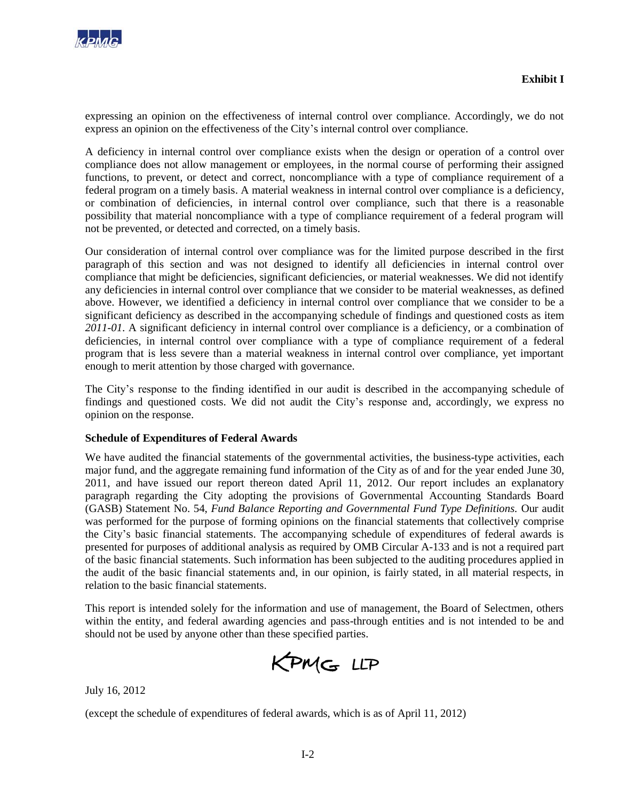

expressing an opinion on the effectiveness of internal control over compliance. Accordingly, we do not express an opinion on the effectiveness of the City's internal control over compliance.

A deficiency in internal control over compliance exists when the design or operation of a control over compliance does not allow management or employees, in the normal course of performing their assigned functions, to prevent, or detect and correct, noncompliance with a type of compliance requirement of a federal program on a timely basis. A material weakness in internal control over compliance is a deficiency, or combination of deficiencies, in internal control over compliance, such that there is a reasonable possibility that material noncompliance with a type of compliance requirement of a federal program will not be prevented, or detected and corrected, on a timely basis.

Our consideration of internal control over compliance was for the limited purpose described in the first paragraph of this section and was not designed to identify all deficiencies in internal control over compliance that might be deficiencies, significant deficiencies, or material weaknesses. We did not identify any deficiencies in internal control over compliance that we consider to be material weaknesses, as defined above. However, we identified a deficiency in internal control over compliance that we consider to be a significant deficiency as described in the accompanying schedule of findings and questioned costs as item *2011-01*. A significant deficiency in internal control over compliance is a deficiency, or a combination of deficiencies, in internal control over compliance with a type of compliance requirement of a federal program that is less severe than a material weakness in internal control over compliance, yet important enough to merit attention by those charged with governance.

The City's response to the finding identified in our audit is described in the accompanying schedule of findings and questioned costs. We did not audit the City's response and, accordingly, we express no opinion on the response.

### **Schedule of Expenditures of Federal Awards**

We have audited the financial statements of the governmental activities, the business-type activities, each major fund, and the aggregate remaining fund information of the City as of and for the year ended June 30, 2011, and have issued our report thereon dated April 11, 2012. Our report includes an explanatory paragraph regarding the City adopting the provisions of Governmental Accounting Standards Board (GASB) Statement No. 54, *Fund Balance Reporting and Governmental Fund Type Definitions.* Our audit was performed for the purpose of forming opinions on the financial statements that collectively comprise the City's basic financial statements. The accompanying schedule of expenditures of federal awards is presented for purposes of additional analysis as required by OMB Circular A-133 and is not a required part of the basic financial statements. Such information has been subjected to the auditing procedures applied in the audit of the basic financial statements and, in our opinion, is fairly stated, in all material respects, in relation to the basic financial statements.

This report is intended solely for the information and use of management, the Board of Selectmen, others within the entity, and federal awarding agencies and pass-through entities and is not intended to be and should not be used by anyone other than these specified parties.

KPMG LLP

July 16, 2012

(except the schedule of expenditures of federal awards, which is as of April 11, 2012)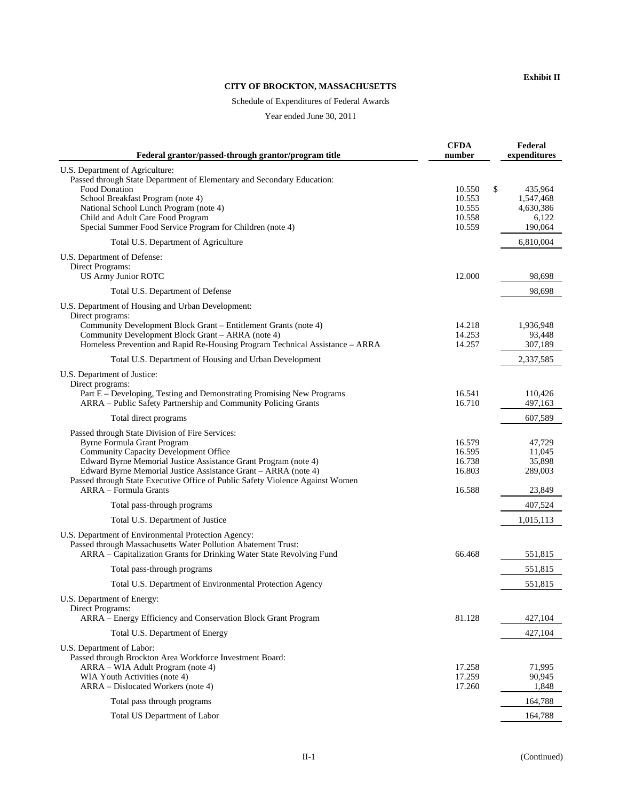### **CITY OF BROCKTON, MASSACHUSETTS**

### Schedule of Expenditures of Federal Awards

| Federal grantor/passed-through grantor/program title                                                                                  | <b>CFDA</b><br>number | Federal<br>expenditures |
|---------------------------------------------------------------------------------------------------------------------------------------|-----------------------|-------------------------|
| U.S. Department of Agriculture:<br>Passed through State Department of Elementary and Secondary Education:                             |                       |                         |
| Food Donation                                                                                                                         | 10.550                | \$<br>435,964           |
| School Breakfast Program (note 4)                                                                                                     | 10.553                | 1,547,468               |
| National School Lunch Program (note 4)                                                                                                | 10.555                | 4,630,386               |
| Child and Adult Care Food Program<br>Special Summer Food Service Program for Children (note 4)                                        | 10.558<br>10.559      | 6,122<br>190,064        |
| Total U.S. Department of Agriculture                                                                                                  |                       | 6,810,004               |
| U.S. Department of Defense:                                                                                                           |                       |                         |
| Direct Programs:                                                                                                                      |                       |                         |
| <b>US Army Junior ROTC</b>                                                                                                            | 12.000                | 98.698                  |
| Total U.S. Department of Defense                                                                                                      |                       | 98,698                  |
| U.S. Department of Housing and Urban Development:<br>Direct programs:                                                                 |                       |                         |
| Community Development Block Grant - Entitlement Grants (note 4)                                                                       | 14.218                | 1,936,948               |
| Community Development Block Grant - ARRA (note 4)                                                                                     | 14.253                | 93,448                  |
| Homeless Prevention and Rapid Re-Housing Program Technical Assistance – ARRA                                                          | 14.257                | 307,189                 |
| Total U.S. Department of Housing and Urban Development                                                                                |                       | 2,337,585               |
| U.S. Department of Justice:<br>Direct programs:                                                                                       |                       |                         |
| Part E – Developing, Testing and Demonstrating Promising New Programs                                                                 | 16.541                | 110,426                 |
| ARRA – Public Safety Partnership and Community Policing Grants                                                                        | 16.710                | 497,163                 |
| Total direct programs                                                                                                                 |                       | 607,589                 |
| Passed through State Division of Fire Services:                                                                                       |                       |                         |
| Byrne Formula Grant Program                                                                                                           | 16.579                | 47,729                  |
| Community Capacity Development Office<br>Edward Byrne Memorial Justice Assistance Grant Program (note 4)                              | 16.595                | 11,045                  |
| Edward Byrne Memorial Justice Assistance Grant - ARRA (note 4)                                                                        | 16.738<br>16.803      | 35,898<br>289,003       |
| Passed through State Executive Office of Public Safety Violence Against Women                                                         |                       |                         |
| <b>ARRA</b> – Formula Grants                                                                                                          | 16.588                | 23,849                  |
| Total pass-through programs                                                                                                           |                       | 407,524                 |
| Total U.S. Department of Justice                                                                                                      |                       | 1,015,113               |
| U.S. Department of Environmental Protection Agency:                                                                                   |                       |                         |
| Passed through Massachusetts Water Pollution Abatement Trust:<br>ARRA - Capitalization Grants for Drinking Water State Revolving Fund | 66.468                | 551,815                 |
| Total pass-through programs                                                                                                           |                       | 551,815                 |
| Total U.S. Department of Environmental Protection Agency                                                                              |                       | 551,815                 |
|                                                                                                                                       |                       |                         |
| U.S. Department of Energy:<br>Direct Programs:                                                                                        |                       |                         |
| ARRA – Energy Efficiency and Conservation Block Grant Program                                                                         | 81.128                | 427,104                 |
| Total U.S. Department of Energy                                                                                                       |                       | 427,104                 |
| U.S. Department of Labor:                                                                                                             |                       |                         |
| Passed through Brockton Area Workforce Investment Board:                                                                              |                       |                         |
| ARRA – WIA Adult Program (note 4)                                                                                                     | 17.258                | 71.995                  |
| WIA Youth Activities (note 4)                                                                                                         | 17.259                | 90,945                  |
| ARRA - Dislocated Workers (note 4)                                                                                                    | 17.260                | 1,848                   |
| Total pass through programs                                                                                                           |                       | 164,788                 |
| Total US Department of Labor                                                                                                          |                       | 164,788                 |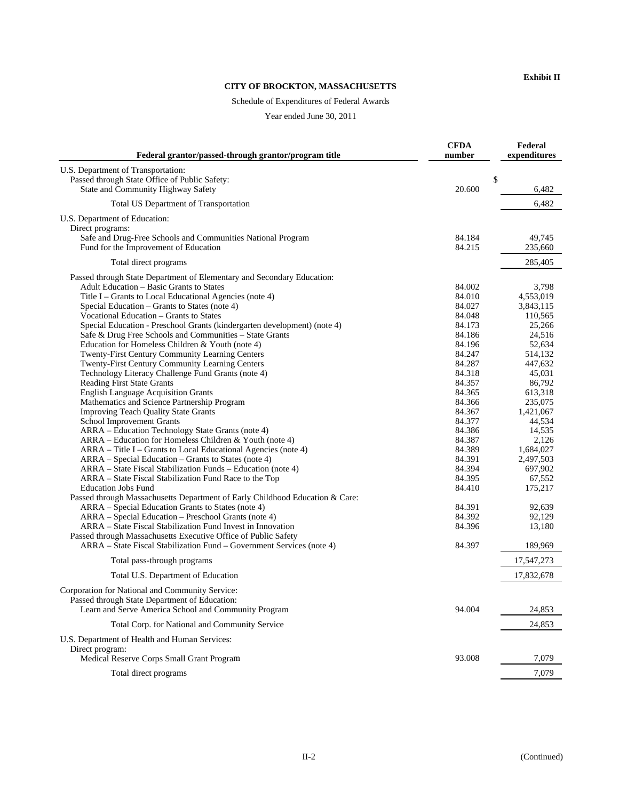### Schedule of Expenditures of Federal Awards

| Federal grantor/passed-through grantor/program title                                                 | <b>CFDA</b><br>number | Federal<br>expenditures |
|------------------------------------------------------------------------------------------------------|-----------------------|-------------------------|
| U.S. Department of Transportation:<br>Passed through State Office of Public Safety:                  |                       | \$                      |
| State and Community Highway Safety                                                                   | 20.600                | 6,482                   |
| Total US Department of Transportation                                                                |                       | 6,482                   |
| U.S. Department of Education:<br>Direct programs:                                                    |                       |                         |
| Safe and Drug-Free Schools and Communities National Program<br>Fund for the Improvement of Education | 84.184<br>84.215      | 49,745<br>235,660       |
| Total direct programs                                                                                |                       | 285,405                 |
| Passed through State Department of Elementary and Secondary Education:                               |                       |                         |
| Adult Education – Basic Grants to States                                                             | 84.002                | 3,798                   |
| Title I – Grants to Local Educational Agencies (note 4)                                              | 84.010                | 4,553,019               |
| Special Education – Grants to States (note 4)                                                        | 84.027                | 3,843,115               |
| Vocational Education - Grants to States                                                              | 84.048                | 110,565                 |
| Special Education - Preschool Grants (kindergarten development) (note 4)                             | 84.173                | 25,266                  |
| Safe & Drug Free Schools and Communities - State Grants                                              | 84.186                | 24,516                  |
| Education for Homeless Children & Youth (note 4)                                                     | 84.196                | 52,634                  |
| Twenty-First Century Community Learning Centers                                                      | 84.247                | 514,132                 |
| Twenty-First Century Community Learning Centers                                                      | 84.287                | 447,632                 |
| Technology Literacy Challenge Fund Grants (note 4)                                                   | 84.318                | 45,031                  |
| <b>Reading First State Grants</b>                                                                    | 84.357                | 86,792                  |
| <b>English Language Acquisition Grants</b>                                                           | 84.365                | 613,318                 |
| Mathematics and Science Partnership Program                                                          | 84.366                | 235,075                 |
| <b>Improving Teach Quality State Grants</b>                                                          | 84.367                | 1,421,067               |
| School Improvement Grants                                                                            | 84.377                | 44,534                  |
| ARRA – Education Technology State Grants (note 4)                                                    | 84.386                | 14,535                  |
| $ARRA - Education for Homeless Children & Youth (note 4)$                                            | 84.387                | 2,126                   |
| ARRA – Title I – Grants to Local Educational Agencies (note 4)                                       | 84.389                | 1,684,027               |
| ARRA – Special Education – Grants to States (note 4)                                                 | 84.391                | 2,497,503               |
| ARRA – State Fiscal Stabilization Funds – Education (note 4)                                         | 84.394                | 697,902                 |
| ARRA – State Fiscal Stabilization Fund Race to the Top                                               | 84.395                | 67,552                  |
| <b>Education Jobs Fund</b>                                                                           | 84.410                | 175,217                 |
| Passed through Massachusetts Department of Early Childhood Education & Care:                         |                       |                         |
| ARRA – Special Education Grants to States (note 4)                                                   | 84.391                | 92,639                  |
| ARRA – Special Education – Preschool Grants (note 4)                                                 | 84.392                | 92,129                  |
| ARRA – State Fiscal Stabilization Fund Invest in Innovation                                          | 84.396                | 13,180                  |
| Passed through Massachusetts Executive Office of Public Safety                                       |                       |                         |
| ARRA – State Fiscal Stabilization Fund – Government Services (note 4)                                | 84.397                | 189,969                 |
| Total pass-through programs                                                                          |                       | 17,547,273              |
| Total U.S. Department of Education                                                                   |                       | 17,832,678              |
| Corporation for National and Community Service:<br>Passed through State Department of Education:     |                       |                         |
| Learn and Serve America School and Community Program                                                 | 94.004                | 24,853                  |
| Total Corp. for National and Community Service                                                       |                       | 24,853                  |
| U.S. Department of Health and Human Services:                                                        |                       |                         |
| Direct program:<br>Medical Reserve Corps Small Grant Program                                         | 93.008                | 7,079                   |
| Total direct programs                                                                                |                       | 7,079                   |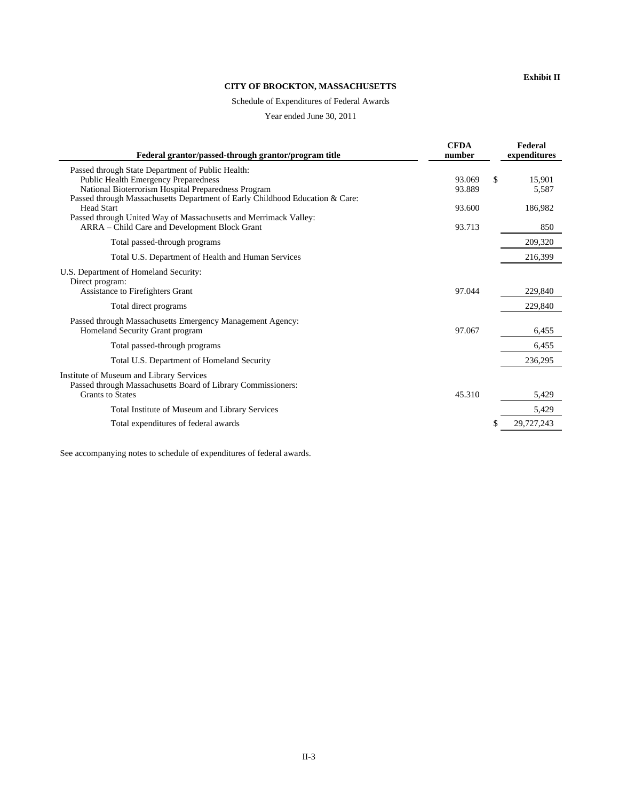### **CITY OF BROCKTON, MASSACHUSETTS**

### Schedule of Expenditures of Federal Awards

Year ended June 30, 2011

| <b>CFDA</b><br>Federal grantor/passed-through grantor/program title<br>number                                                                                                                                                              | Federal<br>expenditures |
|--------------------------------------------------------------------------------------------------------------------------------------------------------------------------------------------------------------------------------------------|-------------------------|
| Passed through State Department of Public Health:<br><b>Public Health Emergency Preparedness</b><br>93.069<br>National Bioterrorism Hospital Preparedness Program<br>93.889                                                                | \$<br>15,901<br>5,587   |
| Passed through Massachusetts Department of Early Childhood Education & Care:<br><b>Head Start</b><br>93.600<br>Passed through United Way of Massachusetts and Merrimack Valley:<br>ARRA – Child Care and Development Block Grant<br>93.713 | 186,982<br>850          |
| Total passed-through programs                                                                                                                                                                                                              | 209,320                 |
| Total U.S. Department of Health and Human Services                                                                                                                                                                                         | 216,399                 |
| U.S. Department of Homeland Security:<br>Direct program:<br>Assistance to Firefighters Grant<br>97.044                                                                                                                                     | 229,840                 |
| Total direct programs                                                                                                                                                                                                                      | 229,840                 |
| Passed through Massachusetts Emergency Management Agency:<br>97.067<br>Homeland Security Grant program                                                                                                                                     | 6,455                   |
| Total passed-through programs                                                                                                                                                                                                              | 6,455                   |
| Total U.S. Department of Homeland Security                                                                                                                                                                                                 | 236,295                 |
| Institute of Museum and Library Services<br>Passed through Massachusetts Board of Library Commissioners:<br><b>Grants to States</b><br>45.310                                                                                              | 5,429                   |
| Total Institute of Museum and Library Services                                                                                                                                                                                             | 5,429                   |
| Total expenditures of federal awards                                                                                                                                                                                                       | 29,727,243              |

See accompanying notes to schedule of expenditures of federal awards.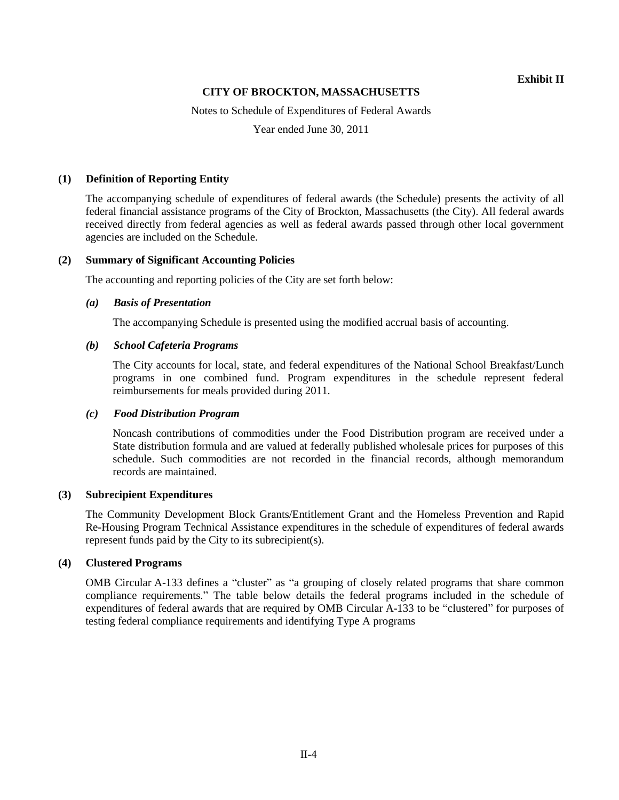## **CITY OF BROCKTON, MASSACHUSETTS**

### Notes to Schedule of Expenditures of Federal Awards

Year ended June 30, 2011

### **(1) Definition of Reporting Entity**

The accompanying schedule of expenditures of federal awards (the Schedule) presents the activity of all federal financial assistance programs of the City of Brockton, Massachusetts (the City). All federal awards received directly from federal agencies as well as federal awards passed through other local government agencies are included on the Schedule.

### **(2) Summary of Significant Accounting Policies**

The accounting and reporting policies of the City are set forth below:

### *(a) Basis of Presentation*

The accompanying Schedule is presented using the modified accrual basis of accounting.

### *(b) School Cafeteria Programs*

The City accounts for local, state, and federal expenditures of the National School Breakfast/Lunch programs in one combined fund. Program expenditures in the schedule represent federal reimbursements for meals provided during 2011.

### *(c) Food Distribution Program*

Noncash contributions of commodities under the Food Distribution program are received under a State distribution formula and are valued at federally published wholesale prices for purposes of this schedule. Such commodities are not recorded in the financial records, although memorandum records are maintained.

### **(3) Subrecipient Expenditures**

The Community Development Block Grants/Entitlement Grant and the Homeless Prevention and Rapid Re-Housing Program Technical Assistance expenditures in the schedule of expenditures of federal awards represent funds paid by the City to its subrecipient(s).

### **(4) Clustered Programs**

OMB Circular A-133 defines a "cluster" as "a grouping of closely related programs that share common compliance requirements." The table below details the federal programs included in the schedule of expenditures of federal awards that are required by OMB Circular A-133 to be "clustered" for purposes of testing federal compliance requirements and identifying Type A programs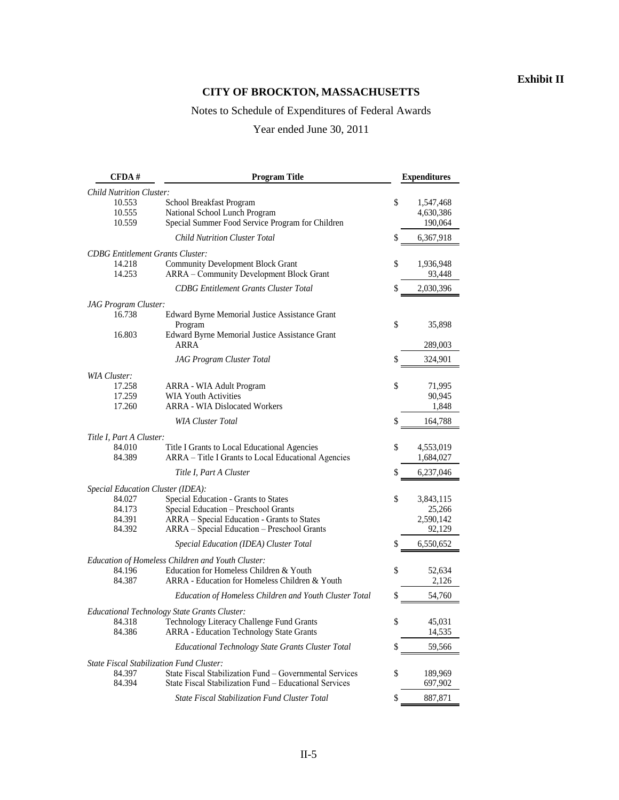# **CITY OF BROCKTON, MASSACHUSETTS**

# Notes to Schedule of Expenditures of Federal Awards

| CFDA#                                           | <b>Program Title</b>                                     | <b>Expenditures</b> |
|-------------------------------------------------|----------------------------------------------------------|---------------------|
| <b>Child Nutrition Cluster:</b>                 |                                                          |                     |
| 10.553                                          | School Breakfast Program                                 | \$<br>1,547,468     |
| 10.555                                          | National School Lunch Program                            | 4,630,386           |
| 10.559                                          | Special Summer Food Service Program for Children         | 190,064             |
|                                                 | <b>Child Nutrition Cluster Total</b>                     | \$<br>6,367,918     |
| <b>CDBG</b> Entitlement Grants Cluster:         |                                                          |                     |
| 14.218                                          | <b>Community Development Block Grant</b>                 | \$<br>1,936,948     |
| 14.253                                          | ARRA - Community Development Block Grant                 | 93,448              |
|                                                 | <b>CDBG</b> Entitlement Grants Cluster Total             | \$<br>2,030,396     |
| JAG Program Cluster:                            |                                                          |                     |
| 16.738                                          | Edward Byrne Memorial Justice Assistance Grant           |                     |
|                                                 | Program                                                  | \$<br>35,898        |
| 16.803                                          | Edward Byrne Memorial Justice Assistance Grant           |                     |
|                                                 | ARRA                                                     | 289,003             |
|                                                 | JAG Program Cluster Total                                | \$<br>324,901       |
| <b>WIA</b> Cluster:                             |                                                          |                     |
| 17.258                                          | ARRA - WIA Adult Program                                 | \$<br>71,995        |
| 17.259                                          | <b>WIA Youth Activities</b>                              | 90,945              |
| 17.260                                          | <b>ARRA - WIA Dislocated Workers</b>                     | 1,848               |
|                                                 | WIA Cluster Total                                        | \$<br>164,788       |
| Title I, Part A Cluster:                        |                                                          |                     |
| 84.010                                          | Title I Grants to Local Educational Agencies             | \$<br>4,553,019     |
| 84.389                                          | ARRA - Title I Grants to Local Educational Agencies      | 1,684,027           |
|                                                 | Title I, Part A Cluster                                  | \$<br>6,237,046     |
| Special Education Cluster (IDEA):               |                                                          |                     |
| 84.027                                          | Special Education - Grants to States                     | \$<br>3,843,115     |
| 84.173                                          | Special Education - Preschool Grants                     | 25,266              |
| 84.391                                          | ARRA - Special Education - Grants to States              | 2,590,142           |
| 84.392                                          | ARRA - Special Education - Preschool Grants              | 92,129              |
|                                                 | Special Education (IDEA) Cluster Total                   | \$<br>6,550,652     |
|                                                 | Education of Homeless Children and Youth Cluster:        |                     |
| 84.196                                          | Education for Homeless Children & Youth                  | \$<br>52,634        |
| 84.387                                          | ARRA - Education for Homeless Children & Youth           | 2,126               |
|                                                 | Education of Homeless Children and Youth Cluster Total   | \$<br>54,760        |
|                                                 | <b>Educational Technology State Grants Cluster:</b>      |                     |
| 84.318                                          | Technology Literacy Challenge Fund Grants                | \$<br>45,031        |
| 84.386                                          | <b>ARRA</b> - Education Technology State Grants          | 14,535              |
|                                                 | <b>Educational Technology State Grants Cluster Total</b> | \$<br>59,566        |
| <b>State Fiscal Stabilization Fund Cluster:</b> |                                                          |                     |
| 84.397                                          | State Fiscal Stabilization Fund - Governmental Services  | \$<br>189,969       |
| 84.394                                          | State Fiscal Stabilization Fund - Educational Services   | 697,902             |
|                                                 | State Fiscal Stabilization Fund Cluster Total            |                     |
|                                                 |                                                          | \$<br>887,871       |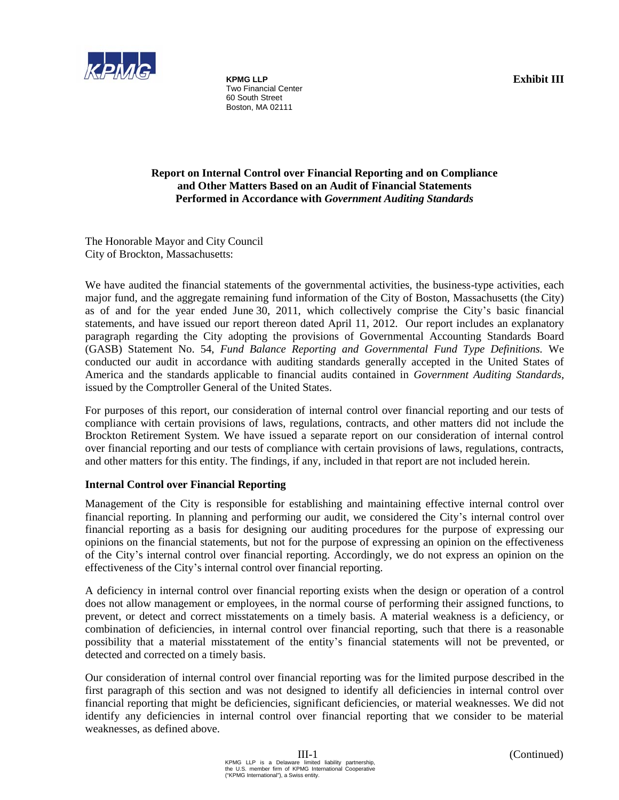

**KPMG LLP**  Two Financial Center 60 South Street Boston, MA 02111

**Exhibit III** 

### **Report on Internal Control over Financial Reporting and on Compliance and Other Matters Based on an Audit of Financial Statements Performed in Accordance with** *Government Auditing Standards*

The Honorable Mayor and City Council City of Brockton, Massachusetts:

We have audited the financial statements of the governmental activities, the business-type activities, each major fund, and the aggregate remaining fund information of the City of Boston, Massachusetts (the City) as of and for the year ended June 30, 2011, which collectively comprise the City's basic financial statements, and have issued our report thereon dated April 11, 2012. Our report includes an explanatory paragraph regarding the City adopting the provisions of Governmental Accounting Standards Board (GASB) Statement No. 54, *Fund Balance Reporting and Governmental Fund Type Definitions.* We conducted our audit in accordance with auditing standards generally accepted in the United States of America and the standards applicable to financial audits contained in *Government Auditing Standards*, issued by the Comptroller General of the United States.

For purposes of this report, our consideration of internal control over financial reporting and our tests of compliance with certain provisions of laws, regulations, contracts, and other matters did not include the Brockton Retirement System. We have issued a separate report on our consideration of internal control over financial reporting and our tests of compliance with certain provisions of laws, regulations, contracts, and other matters for this entity. The findings, if any, included in that report are not included herein.

### **Internal Control over Financial Reporting**

Management of the City is responsible for establishing and maintaining effective internal control over financial reporting. In planning and performing our audit, we considered the City's internal control over financial reporting as a basis for designing our auditing procedures for the purpose of expressing our opinions on the financial statements, but not for the purpose of expressing an opinion on the effectiveness of the City's internal control over financial reporting. Accordingly, we do not express an opinion on the effectiveness of the City's internal control over financial reporting.

A deficiency in internal control over financial reporting exists when the design or operation of a control does not allow management or employees, in the normal course of performing their assigned functions, to prevent, or detect and correct misstatements on a timely basis. A material weakness is a deficiency, or combination of deficiencies, in internal control over financial reporting, such that there is a reasonable possibility that a material misstatement of the entity's financial statements will not be prevented, or detected and corrected on a timely basis.

Our consideration of internal control over financial reporting was for the limited purpose described in the first paragraph of this section and was not designed to identify all deficiencies in internal control over financial reporting that might be deficiencies, significant deficiencies, or material weaknesses. We did not identify any deficiencies in internal control over financial reporting that we consider to be material weaknesses, as defined above.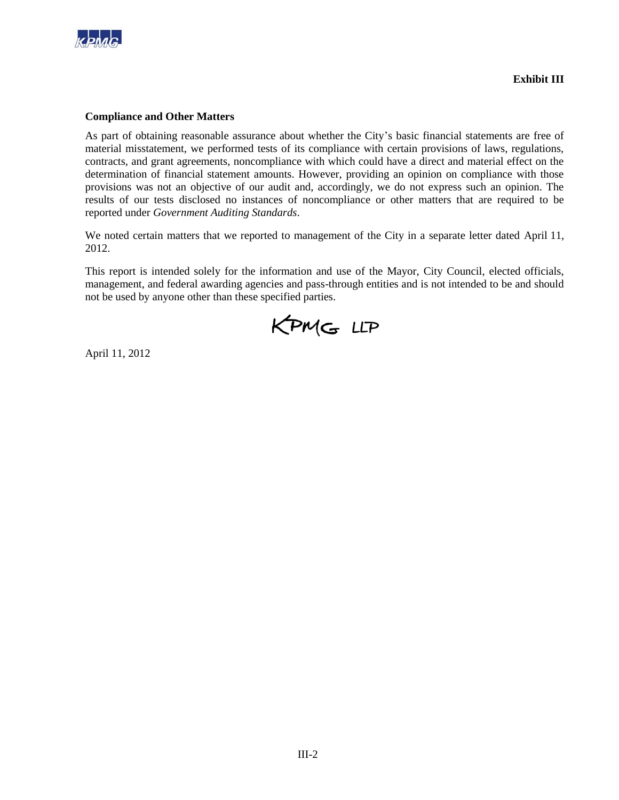

### **Compliance and Other Matters**

As part of obtaining reasonable assurance about whether the City's basic financial statements are free of material misstatement, we performed tests of its compliance with certain provisions of laws, regulations, contracts, and grant agreements, noncompliance with which could have a direct and material effect on the determination of financial statement amounts. However, providing an opinion on compliance with those provisions was not an objective of our audit and, accordingly, we do not express such an opinion. The results of our tests disclosed no instances of noncompliance or other matters that are required to be reported under *Government Auditing Standards*.

We noted certain matters that we reported to management of the City in a separate letter dated April 11, 2012.

This report is intended solely for the information and use of the Mayor, City Council, elected officials, management, and federal awarding agencies and pass-through entities and is not intended to be and should not be used by anyone other than these specified parties.

KPMG LLP

April 11, 2012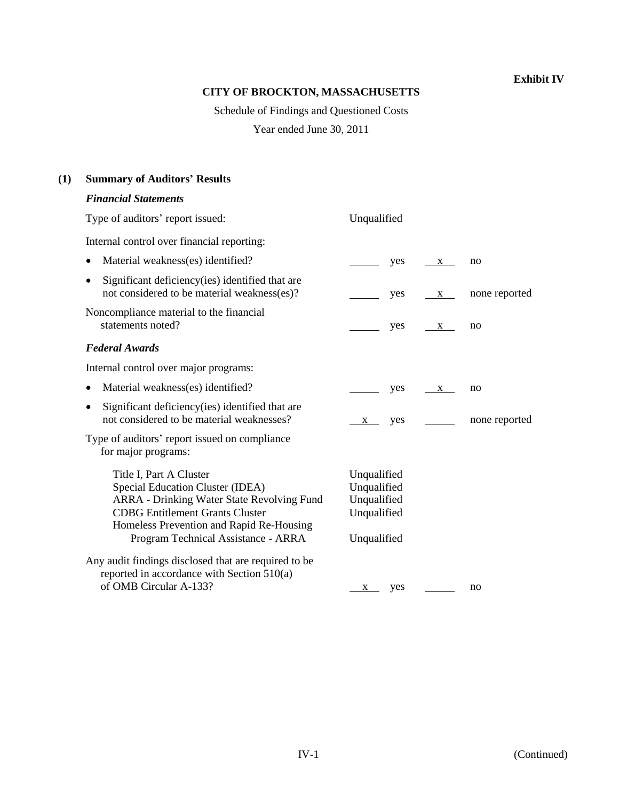**Exhibit IV**

# **CITY OF BROCKTON, MASSACHUSETTS**

# Schedule of Findings and Questioned Costs

Year ended June 30, 2011

# **(1) Summary of Auditors' Results**

### *Financial Statements*

| Type of auditors' report issued:                                                                                                                                                                                                       | Unqualified                                                             |              |               |
|----------------------------------------------------------------------------------------------------------------------------------------------------------------------------------------------------------------------------------------|-------------------------------------------------------------------------|--------------|---------------|
| Internal control over financial reporting:                                                                                                                                                                                             |                                                                         |              |               |
| Material weakness(es) identified?                                                                                                                                                                                                      | yes                                                                     | X            | no            |
| Significant deficiency (ies) identified that are<br>$\bullet$<br>not considered to be material weakness(es)?                                                                                                                           | yes                                                                     | $\mathbf{X}$ | none reported |
| Noncompliance material to the financial<br>statements noted?                                                                                                                                                                           | yes                                                                     | X            | no            |
| <b>Federal Awards</b>                                                                                                                                                                                                                  |                                                                         |              |               |
| Internal control over major programs:                                                                                                                                                                                                  |                                                                         |              |               |
| Material weakness(es) identified?<br>٠                                                                                                                                                                                                 | yes                                                                     | X            | no            |
| Significant deficiency (ies) identified that are<br>٠<br>not considered to be material weaknesses?                                                                                                                                     | yes<br>X.                                                               |              | none reported |
| Type of auditors' report issued on compliance<br>for major programs:                                                                                                                                                                   |                                                                         |              |               |
| Title I, Part A Cluster<br>Special Education Cluster (IDEA)<br>ARRA - Drinking Water State Revolving Fund<br><b>CDBG</b> Entitlement Grants Cluster<br>Homeless Prevention and Rapid Re-Housing<br>Program Technical Assistance - ARRA | Unqualified<br>Unqualified<br>Unqualified<br>Unqualified<br>Unqualified |              |               |
| Any audit findings disclosed that are required to be<br>reported in accordance with Section 510(a)<br>of OMB Circular A-133?                                                                                                           | yes<br>X —                                                              |              | no            |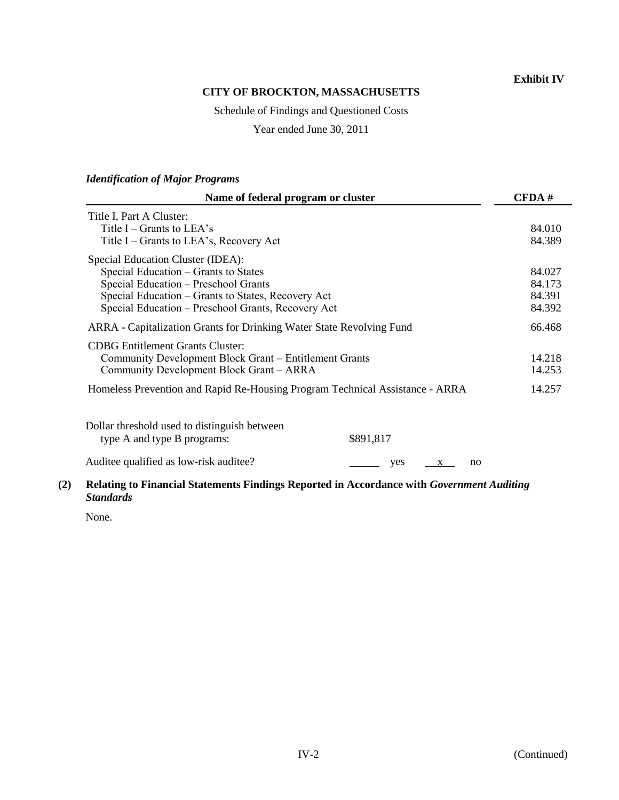## **Exhibit IV**

# **CITY OF BROCKTON, MASSACHUSETTS**

Schedule of Findings and Questioned Costs

Year ended June 30, 2011

# *Identification of Major Programs*

| Name of federal program or cluster                                                                                                                                                                                            |                | CFDA#                                |
|-------------------------------------------------------------------------------------------------------------------------------------------------------------------------------------------------------------------------------|----------------|--------------------------------------|
| Title I, Part A Cluster:<br>Title $I -$ Grants to LEA's<br>Title I – Grants to LEA's, Recovery Act                                                                                                                            |                | 84.010<br>84.389                     |
| Special Education Cluster (IDEA):<br>Special Education - Grants to States<br>Special Education – Preschool Grants<br>Special Education – Grants to States, Recovery Act<br>Special Education – Preschool Grants, Recovery Act |                | 84.027<br>84.173<br>84.391<br>84.392 |
| ARRA - Capitalization Grants for Drinking Water State Revolving Fund<br><b>CDBG</b> Entitlement Grants Cluster:<br>Community Development Block Grant – Entitlement Grants<br>Community Development Block Grant – ARRA         |                | 66.468<br>14.218<br>14.253           |
| Homeless Prevention and Rapid Re-Housing Program Technical Assistance - ARRA                                                                                                                                                  |                | 14.257                               |
| Dollar threshold used to distinguish between<br>\$891,817<br>type A and type B programs:                                                                                                                                      |                |                                      |
| Auditee qualified as low-risk auditee?                                                                                                                                                                                        | yes<br>no<br>X |                                      |
| Relating to Financial Statements Findings Reported in Accordance with Government Auditing                                                                                                                                     |                |                                      |

**(2) Relating to Financial Statements Findings Reported in Accordance with** *Government Auditing Standards*

None.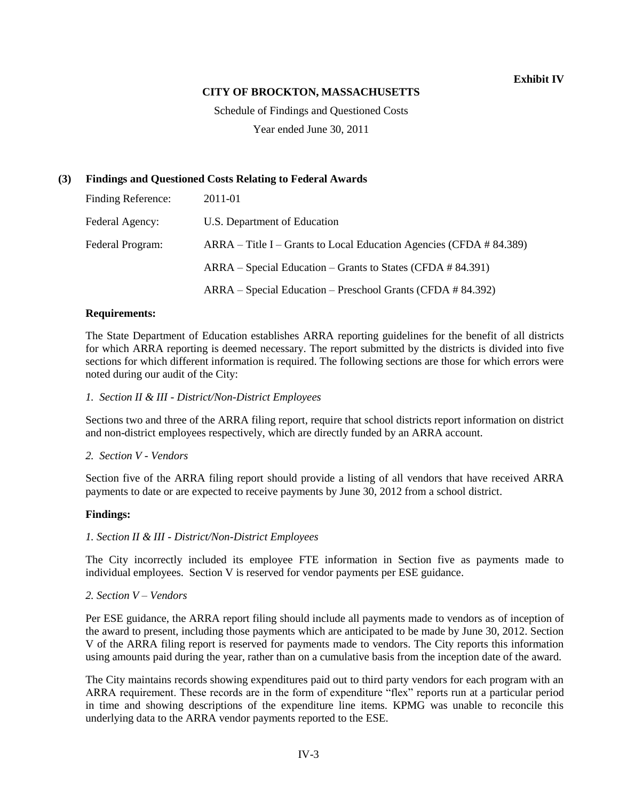Schedule of Findings and Questioned Costs Year ended June 30, 2011

### **(3) Findings and Questioned Costs Relating to Federal Awards**

| Finding Reference: | 2011-01                                                             |
|--------------------|---------------------------------------------------------------------|
| Federal Agency:    | U.S. Department of Education                                        |
| Federal Program:   | ARRA – Title I – Grants to Local Education Agencies (CFDA # 84.389) |
|                    | ARRA – Special Education – Grants to States (CFDA # 84.391)         |
|                    | ARRA – Special Education – Preschool Grants (CFDA # 84.392)         |

### **Requirements:**

The State Department of Education establishes ARRA reporting guidelines for the benefit of all districts for which ARRA reporting is deemed necessary. The report submitted by the districts is divided into five sections for which different information is required. The following sections are those for which errors were noted during our audit of the City:

*1. Section II & III - District/Non-District Employees*

Sections two and three of the ARRA filing report, require that school districts report information on district and non-district employees respectively, which are directly funded by an ARRA account.

### *2. Section V - Vendors*

Section five of the ARRA filing report should provide a listing of all vendors that have received ARRA payments to date or are expected to receive payments by June 30, 2012 from a school district.

### **Findings:**

### *1. Section II & III - District/Non-District Employees*

The City incorrectly included its employee FTE information in Section five as payments made to individual employees. Section V is reserved for vendor payments per ESE guidance.

### *2. Section V – Vendors*

Per ESE guidance, the ARRA report filing should include all payments made to vendors as of inception of the award to present, including those payments which are anticipated to be made by June 30, 2012. Section V of the ARRA filing report is reserved for payments made to vendors. The City reports this information using amounts paid during the year, rather than on a cumulative basis from the inception date of the award.

The City maintains records showing expenditures paid out to third party vendors for each program with an ARRA requirement. These records are in the form of expenditure "flex" reports run at a particular period in time and showing descriptions of the expenditure line items. KPMG was unable to reconcile this underlying data to the ARRA vendor payments reported to the ESE.